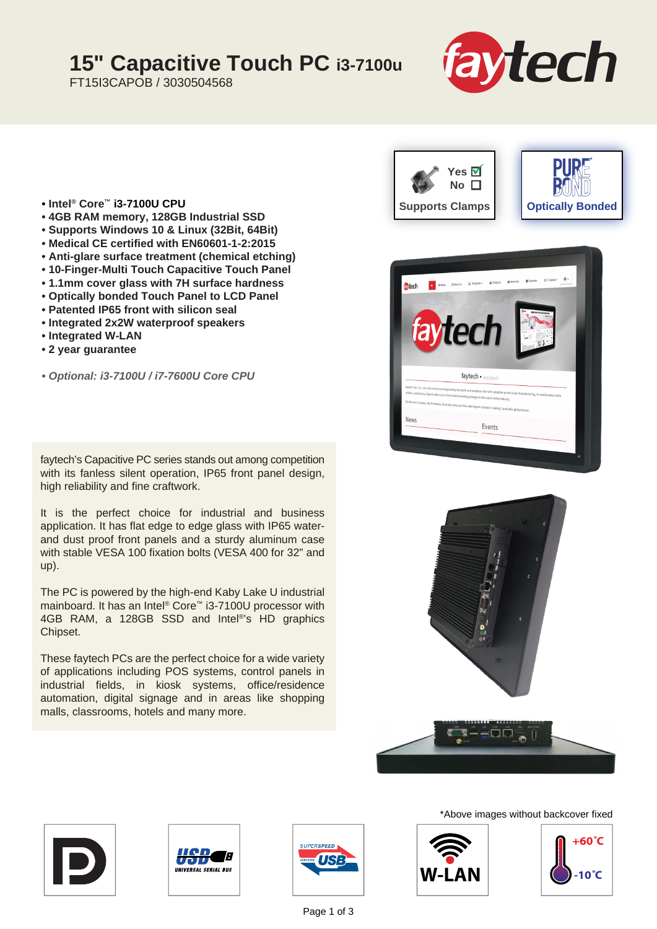## **15" Capacitive Touch PC i3-7100u**

FT15I3CAPOB / 3030504568



- **Intel® Core™ i3-7100U CPU**
- **4GB RAM memory, 128GB Industrial SSD**
- **Supports Windows 10 & Linux (32Bit, 64Bit)**
- **Medical CE certified with EN60601-1-2:2015**
- **Anti-glare surface treatment (chemical etching)**
- **10-Finger-Multi Touch Capacitive Touch Panel**
- **1.1mm cover glass with 7H surface hardness**
- **Optically bonded Touch Panel to LCD Panel**
- **Patented IP65 front with silicon seal**
- **Integrated 2x2W waterproof speakers**
- **Integrated W-LAN**
- **2 year guarantee**
- *Optional: i3-7100U / i7-7600U Core CPU*

faytech's Capacitive PC series stands out among competition with its fanless silent operation, IP65 front panel design, high reliability and fine craftwork.

It is the perfect choice for industrial and business application. It has flat edge to edge glass with IP65 waterand dust proof front panels and a sturdy aluminum case with stable VESA 100 fixation bolts (VESA 400 for 32" and up).

The PC is powered by the high-end Kaby Lake U industrial mainboard. It has an Intel® Core™ i3-7100U processor with 4GB RAM, a 128GB SSD and Intel®'s HD graphics Chipset.

These faytech PCs are the perfect choice for a wide variety of applications including POS systems, control panels in industrial fields, in kiosk systems, office/residence automation, digital signage and in areas like shopping malls, classrooms, hotels and many more.













Page 1 of 3

\*Above images without backcover fixed



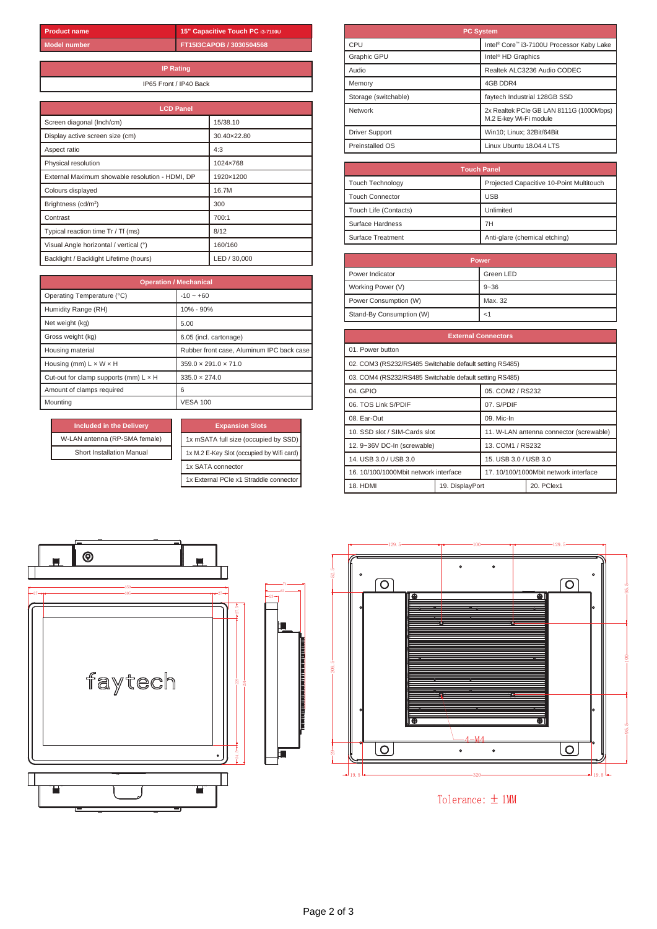**15" Capacitive Touch PC i3-7100U FT15I3CAPOB / 3030504568**

**IP Rating** IP65 Front / IP40 Back

| <b>LCD Panel</b>                                |              |  |  |
|-------------------------------------------------|--------------|--|--|
| Screen diagonal (Inch/cm)                       | 15/38.10     |  |  |
| Display active screen size (cm)                 | 30.40×22.80  |  |  |
| Aspect ratio                                    | 4:3          |  |  |
| Physical resolution                             | 1024×768     |  |  |
| External Maximum showable resolution - HDMI, DP | 1920×1200    |  |  |
| Colours displayed                               | 16.7M        |  |  |
| Brightness (cd/m <sup>2</sup> )                 | 300          |  |  |
| Contrast                                        | 700:1        |  |  |
| Typical reaction time Tr / Tf (ms)              | 8/12         |  |  |
| Visual Angle horizontal / vertical (°)          | 160/160      |  |  |
| Backlight / Backlight Lifetime (hours)          | LED / 30,000 |  |  |

| <b>Operation / Mechanical</b>                |                                           |  |
|----------------------------------------------|-------------------------------------------|--|
| Operating Temperature (°C)                   | $-10 - 60$                                |  |
| Humidity Range (RH)                          | 10% - 90%                                 |  |
| Net weight (kg)                              | 5.00                                      |  |
| Gross weight (kg)                            | 6.05 (incl. cartonage)                    |  |
| Housing material                             | Rubber front case, Aluminum IPC back case |  |
| Housing (mm) $L \times W \times H$           | $359.0 \times 291.0 \times 71.0$          |  |
| Cut-out for clamp supports (mm) $L \times H$ | $335.0 \times 274.0$                      |  |
| Amount of clamps required                    | 6                                         |  |
| Mountina                                     | <b>VESA 100</b>                           |  |

| <b>Included in the Delivery</b> | <b>Expansion Slots</b>           |
|---------------------------------|----------------------------------|
| W-LAN antenna (RP-SMA female)   | 1x mSATA full size (occupied I   |
| Short Installation Manual       | 1x M.2 E-Key Slot (occupied by V |
|                                 | 1x SATA connector                |
|                                 |                                  |

|  | <b>Expansion Slots</b>                    |  |  |
|--|-------------------------------------------|--|--|
|  | 1x mSATA full size (occupied by SSD)      |  |  |
|  | 1x M.2 E-Key Slot (occupied by Wifi card) |  |  |
|  | 1x SATA connector                         |  |  |
|  | 1x External PCIe x1 Straddle connector    |  |  |

| <b>PC System</b>      |                                                                   |  |  |
|-----------------------|-------------------------------------------------------------------|--|--|
| CPU                   | Intel <sup>®</sup> Core™ i3-7100U Processor Kaby Lake             |  |  |
| Graphic GPU           | Intel <sup>®</sup> HD Graphics                                    |  |  |
| Audio                 | Realtek ALC3236 Audio CODEC                                       |  |  |
| Memory                | 4GB DDR4                                                          |  |  |
| Storage (switchable)  | faytech Industrial 128GB SSD                                      |  |  |
| Network               | 2x Realtek PCIe GB LAN 8111G (1000Mbps)<br>M.2 E-kev Wi-Fi module |  |  |
| <b>Driver Support</b> | Win10; Linux; 32Bit/64Bit                                         |  |  |
| Preinstalled OS       | Linux Ubuntu 18.04.4 LTS                                          |  |  |

| <b>Touch Panel</b>      |                                          |  |
|-------------------------|------------------------------------------|--|
| <b>Touch Technology</b> | Projected Capacitive 10-Point Multitouch |  |
| <b>Touch Connector</b>  | <b>USB</b>                               |  |
| Touch Life (Contacts)   | Unlimited                                |  |
| Surface Hardness        | 7H                                       |  |
| Surface Treatment       | Anti-glare (chemical etching)            |  |

| Power                    |           |  |
|--------------------------|-----------|--|
| Power Indicator          | Green LED |  |
| Working Power (V)        | $9 - 36$  |  |
| Power Consumption (W)    | Max. 32   |  |
| Stand-By Consumption (W) | <1        |  |

| <b>External Connectors</b>                              |                 |                                       |                                         |
|---------------------------------------------------------|-----------------|---------------------------------------|-----------------------------------------|
| 01. Power button                                        |                 |                                       |                                         |
| 02. COM3 (RS232/RS485 Switchable default setting RS485) |                 |                                       |                                         |
| 03. COM4 (RS232/RS485 Switchable default setting RS485) |                 |                                       |                                         |
| 04. GPIO                                                |                 | 05. COM2 / RS232                      |                                         |
| 06. TOS Link S/PDIF                                     |                 | 07. S/PDIF                            |                                         |
| 08. Ear-Out                                             |                 | 09. Mic-In                            |                                         |
| 10. SSD slot / SIM-Cards slot                           |                 |                                       | 11. W-LAN antenna connector (screwable) |
| 12. 9~36V DC-In (screwable)                             |                 | 13. COM1 / RS232                      |                                         |
| 14. USB 3.0 / USB 3.0                                   |                 | 15. USB 3.0 / USB 3.0                 |                                         |
| 16. 10/100/1000Mbit network interface                   |                 | 17. 10/100/1000Mbit network interface |                                         |
| 18. HDMI                                                | 19. DisplayPort |                                       | 20. PClex1                              |



Tolerance:  $\pm$  1MM